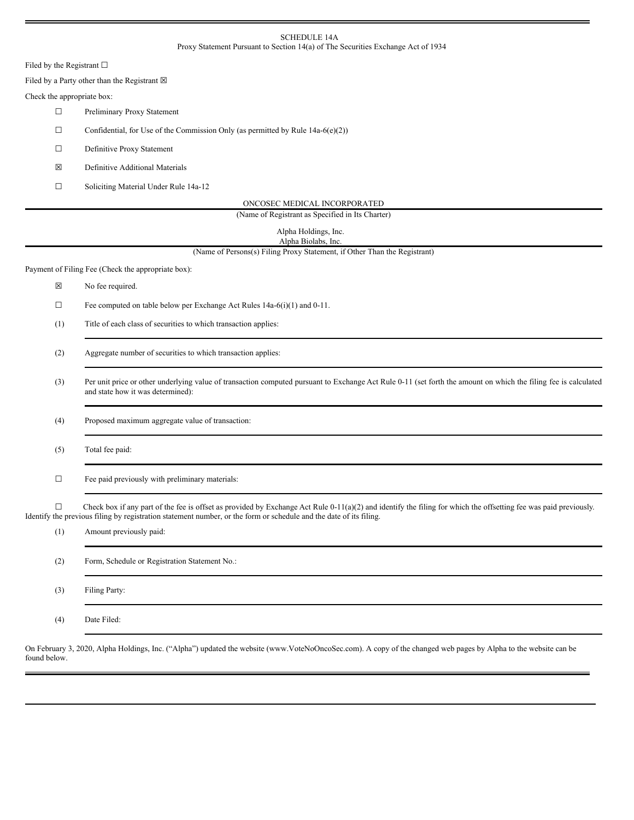## SCHEDULE 14A Proxy Statement Pursuant to Section 14(a) of The Securities Exchange Act of 1934

Filed by the Registrant  $\square$ 

Filed by a Party other than the Registrant  $\boxtimes$ 

## Check the appropriate box:

- ☐ Preliminary Proxy Statement
- $\Box$  Confidential, for Use of the Commission Only (as permitted by Rule 14a-6(e)(2))
- ☐ Definitive Proxy Statement
- ☒ Definitive Additional Materials
- ☐ Soliciting Material Under Rule 14a-12

| ONCOSEC MEDICAL INCORPORATED |
|------------------------------|
|                              |

(Name of Registrant as Specified in Its Charter)

| Alpha Holdings, Inc. |  |
|----------------------|--|
| Alpha Biolabs, Inc.  |  |

(Name of Persons(s) Filing Proxy Statement, if Other Than the Registrant)

Payment of Filing Fee (Check the appropriate box):

- ☒ No fee required.
- $\Box$  Fee computed on table below per Exchange Act Rules 14a-6(i)(1) and 0-11.
- (1) Title of each class of securities to which transaction applies:
- (2) Aggregate number of securities to which transaction applies:
- (3) Per unit price or other underlying value of transaction computed pursuant to Exchange Act Rule 0-11 (set forth the amount on which the filing fee is calculated and state how it was determined):

(4) Proposed maximum aggregate value of transaction:

- (5) Total fee paid:
- $\Box$  Fee paid previously with preliminary materials:

 $\Box$  Check box if any part of the fee is offset as provided by Exchange Act Rule 0-11(a)(2) and identify the filing for which the offsetting fee was paid previously. Identify the previous filing by registration statement number, or the form or schedule and the date of its filing.

| (1) | Amount previously paid:                       |
|-----|-----------------------------------------------|
| (2) | Form, Schedule or Registration Statement No.: |
| (3) | Filing Party:                                 |
| (4) | Date Filed:                                   |

On February 3, 2020, Alpha Holdings, Inc. ("Alpha") updated the website (www.VoteNoOncoSec.com). A copy of the changed web pages by Alpha to the website can be found below.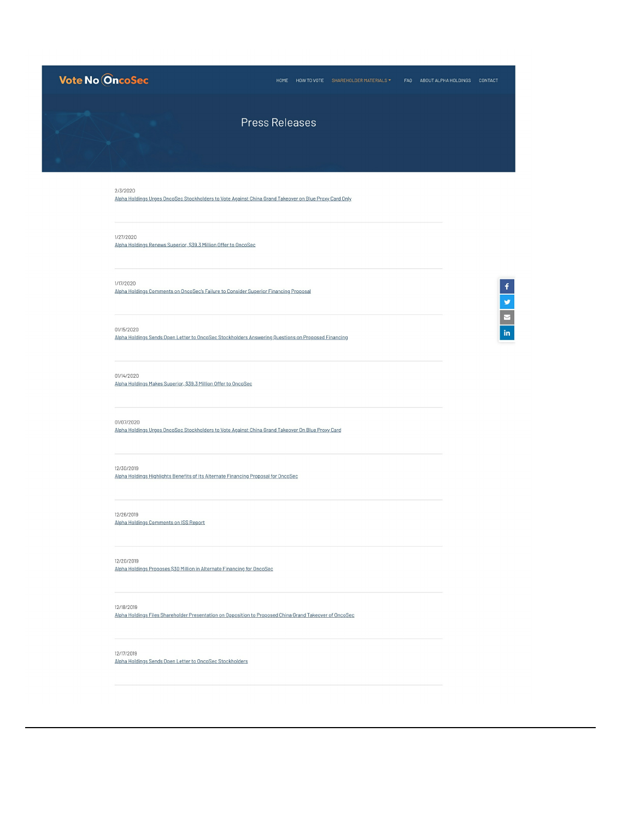# Vote No OncoSec **Press Releases** 2/3/2020 Alpha Holdings Urges OncoSec Stockholders to Vote Against China Grand Takeover on Blue Proxy Card Only 1/27/2020 Alpha Holdings Renews Superior, \$39.3 Million Offer to OncoSec  $\begin{array}{|c|c|c|}\hline \textbf{f} & \textbf{g} & \textbf{h} \\\hline \hline \textbf{g} & \textbf{g} & \textbf{g} \\\hline \end{array}$ 1/17/2020 Alpha Holdings Comments on OncoSec's Failure to Consider Superior Financing Proposal 01/15/2020 Alpha Holdings Sends Open Letter to OncoSec Stockholders Answering Questions on Proposed Financing 01/14/2020 Alpha Holdings Makes Superior, \$39.3 Million Offer to OncoSec 01/07/2020 Alpha Holdings Urges OncoSec Stockholders to Vote Against China Grand Takeover On Blue Proxy Card 12/30/2019 Alpha Holdings Highlights Benefits of Its Alternate Financing Proposal for OncoSec 12/26/2019 Alpha Holdings Comments on ISS Report 12/20/2019 Alpha Holdings Proposes \$30 Million in Alternate Financing for OncoSec 12/18/2019 Alpha Holdings Files Shareholder Presentation on Opposition to Proposed China Grand Takeover of OncoSec

12/17/2019 Alpha Holdings Sends Open Letter to OncoSec Stockholders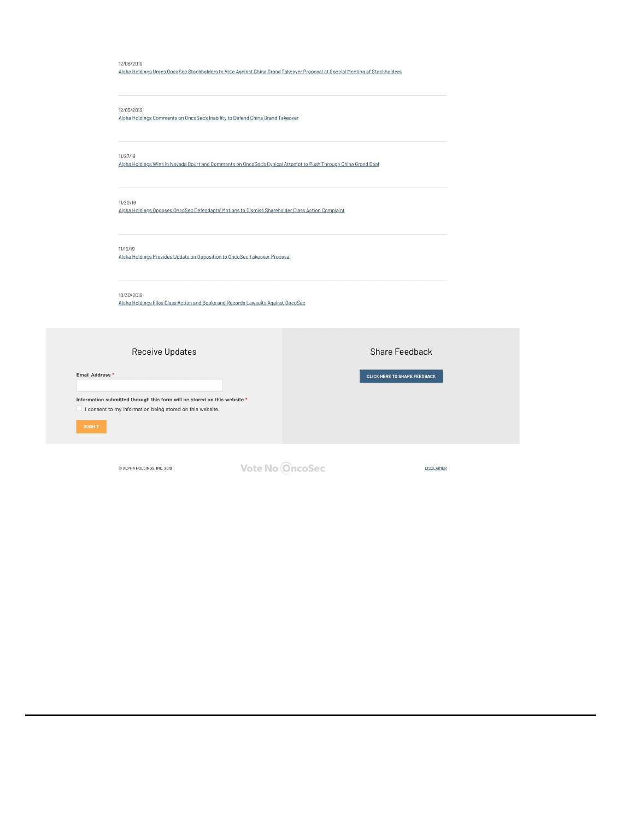### 12/06/2019

Alpha Holdings Urges OncoSec Stockholders to Vote Against China Grand Takeover Proposal at Special Meeting of Stockholders

# 12/05/2019

Alpha Holdings Comments on OncoSec's Inability to Defend China Grand Takeover

#### $11/27/19$

Alpha Holdings Wins in Nevada Court and Comments on OncoSec's Cynical Attempt to Push Through China Grand Deal

## 11/20/19

Alpha Holdings Opposes OncoSec Defendants' Motions to Dismiss Shareholder Class Action Complaint

# $11/15/19$

Alpha Holdings Provides Update on Opposition to OncoSec Takeover Proposal

### 10/30/2019

Alpha Holdings Files Class Action and Books and Records Lawsuits Against OncoSec

| <b>Receive Updates</b>                                                                                                                                   |                 | Share Feedback                      |  |  |
|----------------------------------------------------------------------------------------------------------------------------------------------------------|-----------------|-------------------------------------|--|--|
| Email Address *<br>Information submitted through this form will be stored on this website *<br>I consent to my information being stored on this website. |                 | <b>CLICK HERE TO SHARE FEEDBACK</b> |  |  |
| <b>SUBMIT</b>                                                                                                                                            |                 |                                     |  |  |
| C ALPHA HOLDINGS, INC. 2019                                                                                                                              | Vote No OncoSec | <b>DISCLAIMER</b>                   |  |  |